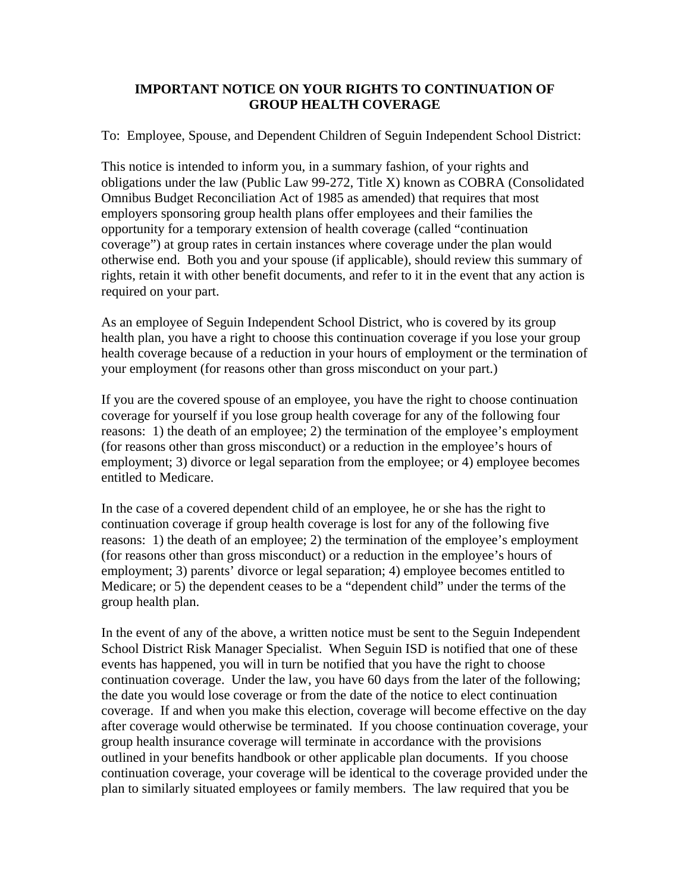## **IMPORTANT NOTICE ON YOUR RIGHTS TO CONTINUATION OF GROUP HEALTH COVERAGE**

To: Employee, Spouse, and Dependent Children of Seguin Independent School District:

This notice is intended to inform you, in a summary fashion, of your rights and obligations under the law (Public Law 99-272, Title X) known as COBRA (Consolidated Omnibus Budget Reconciliation Act of 1985 as amended) that requires that most employers sponsoring group health plans offer employees and their families the opportunity for a temporary extension of health coverage (called "continuation coverage") at group rates in certain instances where coverage under the plan would otherwise end. Both you and your spouse (if applicable), should review this summary of rights, retain it with other benefit documents, and refer to it in the event that any action is required on your part.

As an employee of Seguin Independent School District, who is covered by its group health plan, you have a right to choose this continuation coverage if you lose your group health coverage because of a reduction in your hours of employment or the termination of your employment (for reasons other than gross misconduct on your part.)

If you are the covered spouse of an employee, you have the right to choose continuation coverage for yourself if you lose group health coverage for any of the following four reasons: 1) the death of an employee; 2) the termination of the employee's employment (for reasons other than gross misconduct) or a reduction in the employee's hours of employment; 3) divorce or legal separation from the employee; or 4) employee becomes entitled to Medicare.

In the case of a covered dependent child of an employee, he or she has the right to continuation coverage if group health coverage is lost for any of the following five reasons: 1) the death of an employee; 2) the termination of the employee's employment (for reasons other than gross misconduct) or a reduction in the employee's hours of employment; 3) parents' divorce or legal separation; 4) employee becomes entitled to Medicare; or 5) the dependent ceases to be a "dependent child" under the terms of the group health plan.

In the event of any of the above, a written notice must be sent to the Seguin Independent School District Risk Manager Specialist. When Seguin ISD is notified that one of these events has happened, you will in turn be notified that you have the right to choose continuation coverage. Under the law, you have 60 days from the later of the following; the date you would lose coverage or from the date of the notice to elect continuation coverage. If and when you make this election, coverage will become effective on the day after coverage would otherwise be terminated. If you choose continuation coverage, your group health insurance coverage will terminate in accordance with the provisions outlined in your benefits handbook or other applicable plan documents. If you choose continuation coverage, your coverage will be identical to the coverage provided under the plan to similarly situated employees or family members. The law required that you be